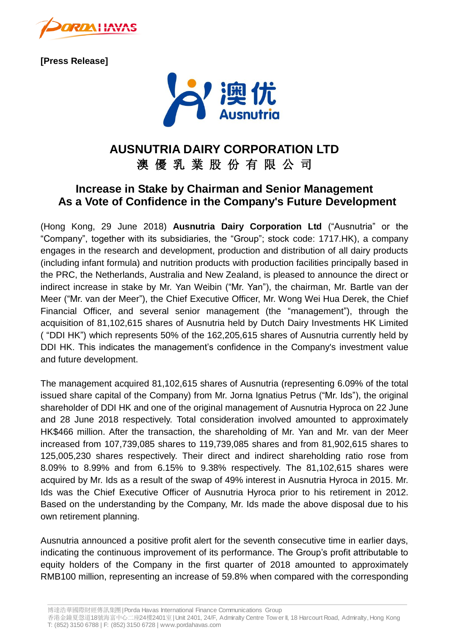

**[Press Release]**



## **AUSNUTRIA DAIRY CORPORATION LTD**

澳 優 乳 業 股 份 有 限 公 司

## **Increase in Stake by Chairman and Senior Management As a Vote of Confidence in the Company's Future Development**

(Hong Kong, 29 June 2018) **Ausnutria Dairy Corporation Ltd** ("Ausnutria" or the "Company", together with its subsidiaries, the "Group"; stock code: 1717.HK), a company engages in the research and development, production and distribution of all dairy products (including infant formula) and nutrition products with production facilities principally based in the PRC, the Netherlands, Australia and New Zealand, is pleased to announce the direct or indirect increase in stake by Mr. Yan Weibin ("Mr. Yan"), the chairman, Mr. Bartle van der Meer ("Mr. van der Meer"), the Chief Executive Officer, Mr. Wong Wei Hua Derek, the Chief Financial Officer, and several senior management (the "management"), through the acquisition of 81,102,615 shares of Ausnutria held by Dutch Dairy Investments HK Limited ( "DDI HK") which represents 50% of the 162,205,615 shares of Ausnutria currently held by DDI HK. This indicates the management's confidence in the Company's investment value and future development.

The management acquired 81,102,615 shares of Ausnutria (representing 6.09% of the total issued share capital of the Company) from Mr. Jorna Ignatius Petrus ("Mr. Ids"), the original shareholder of DDI HK and one of the original management of Ausnutria Hyproca on 22 June and 28 June 2018 respectively. Total consideration involved amounted to approximately HK\$466 million. After the transaction, the shareholding of Mr. Yan and Mr. van der Meer increased from 107,739,085 shares to 119,739,085 shares and from 81,902,615 shares to 125,005,230 shares respectively. Their direct and indirect shareholding ratio rose from 8.09% to 8.99% and from 6.15% to 9.38% respectively. The 81,102,615 shares were acquired by Mr. Ids as a result of the swap of 49% interest in Ausnutria Hyroca in 2015. Mr. Ids was the Chief Executive Officer of Ausnutria Hyroca prior to his retirement in 2012. Based on the understanding by the Company, Mr. Ids made the above disposal due to his own retirement planning.

Ausnutria announced a positive profit alert for the seventh consecutive time in earlier days, indicating the continuous improvement of its performance. The Group's profit attributable to equity holders of the Company in the first quarter of 2018 amounted to approximately RMB100 million, representing an increase of 59.8% when compared with the corresponding

博達浩華國際財經傳訊集團| Porda Havas International Finance Communications Group

香港金鐘夏愨道18號海富中心二座24樓2401<sup>室</sup>| Unit 2401, 24/F, Admiralty Centre Tow er II, 18 Harcourt Road, Admiralty, Hong Kong T: (852) 3150 6788 | F: (852) 3150 6728 | www.pordahavas.com